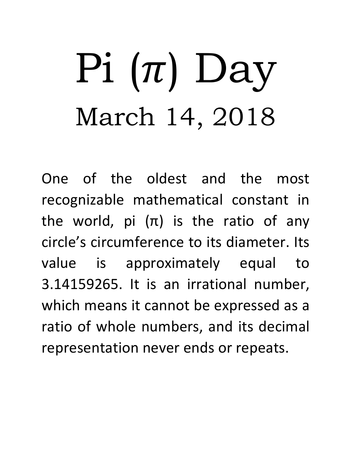## Pi  $(\pi)$  Day March 14, 2018

One of the oldest and the most recognizable mathematical constant in the world, pi  $(\pi)$  is the ratio of any circle's circumference to its diameter. Its value is approximately equal to 3.14159265. It is an irrational number, which means it cannot be expressed as a ratio of whole numbers, and its decimal representation never ends or repeats.